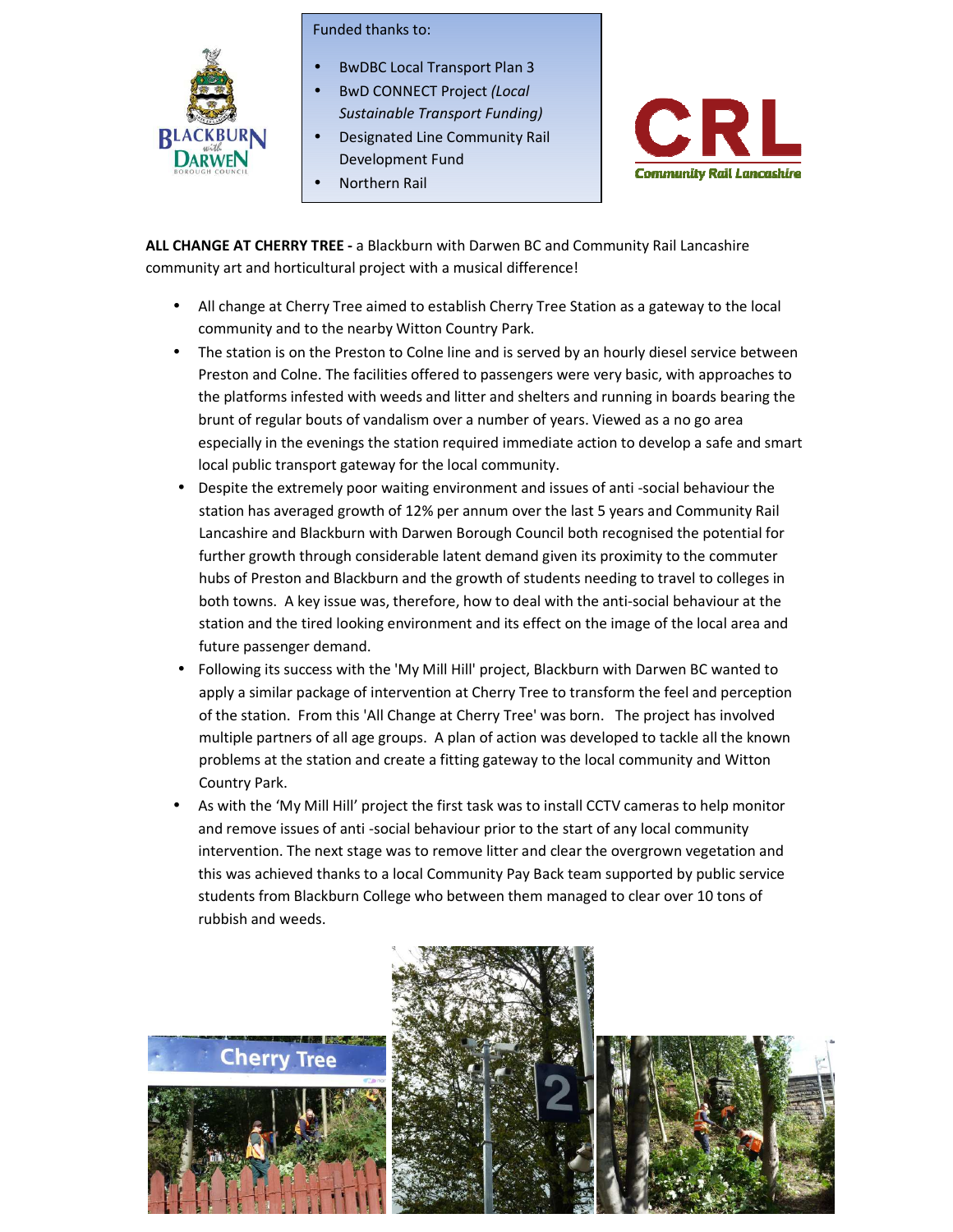

## Funded thanks to:

- BwDBC Local Transport Plan 3
- BwD CONNECT Project *(Local Sustainable Transport Funding)*
- Designated Line Community Rail Development Fund
- Northern Rail



**ALL CHANGE AT CHERRY TREE -** a Blackburn with Darwen BC and Community Rail Lancashire community art and horticultural project with a musical difference!

- All change at Cherry Tree aimed to establish Cherry Tree Station as a gateway to the local community and to the nearby Witton Country Park.
- The station is on the Preston to Colne line and is served by an hourly diesel service between Preston and Colne. The facilities offered to passengers were very basic, with approaches to the platforms infested with weeds and litter and shelters and running in boards bearing the brunt of regular bouts of vandalism over a number of years. Viewed as a no go area especially in the evenings the station required immediate action to develop a safe and smart local public transport gateway for the local community.
- Despite the extremely poor waiting environment and issues of anti -social behaviour the station has averaged growth of 12% per annum over the last 5 years and Community Rail Lancashire and Blackburn with Darwen Borough Council both recognised the potential for further growth through considerable latent demand given its proximity to the commuter hubs of Preston and Blackburn and the growth of students needing to travel to colleges in both towns. A key issue was, therefore, how to deal with the anti-social behaviour at the station and the tired looking environment and its effect on the image of the local area and future passenger demand.
- Following its success with the 'My Mill Hill' project, Blackburn with Darwen BC wanted to apply a similar package of intervention at Cherry Tree to transform the feel and perception of the station. From this 'All Change at Cherry Tree' was born. The project has involved multiple partners of all age groups. A plan of action was developed to tackle all the known problems at the station and create a fitting gateway to the local community and Witton Country Park.
- As with the 'My Mill Hill' project the first task was to install CCTV cameras to help monitor and remove issues of anti -social behaviour prior to the start of any local community intervention. The next stage was to remove litter and clear the overgrown vegetation and this was achieved thanks to a local Community Pay Back team supported by public service students from Blackburn College who between them managed to clear over 10 tons of rubbish and weeds.

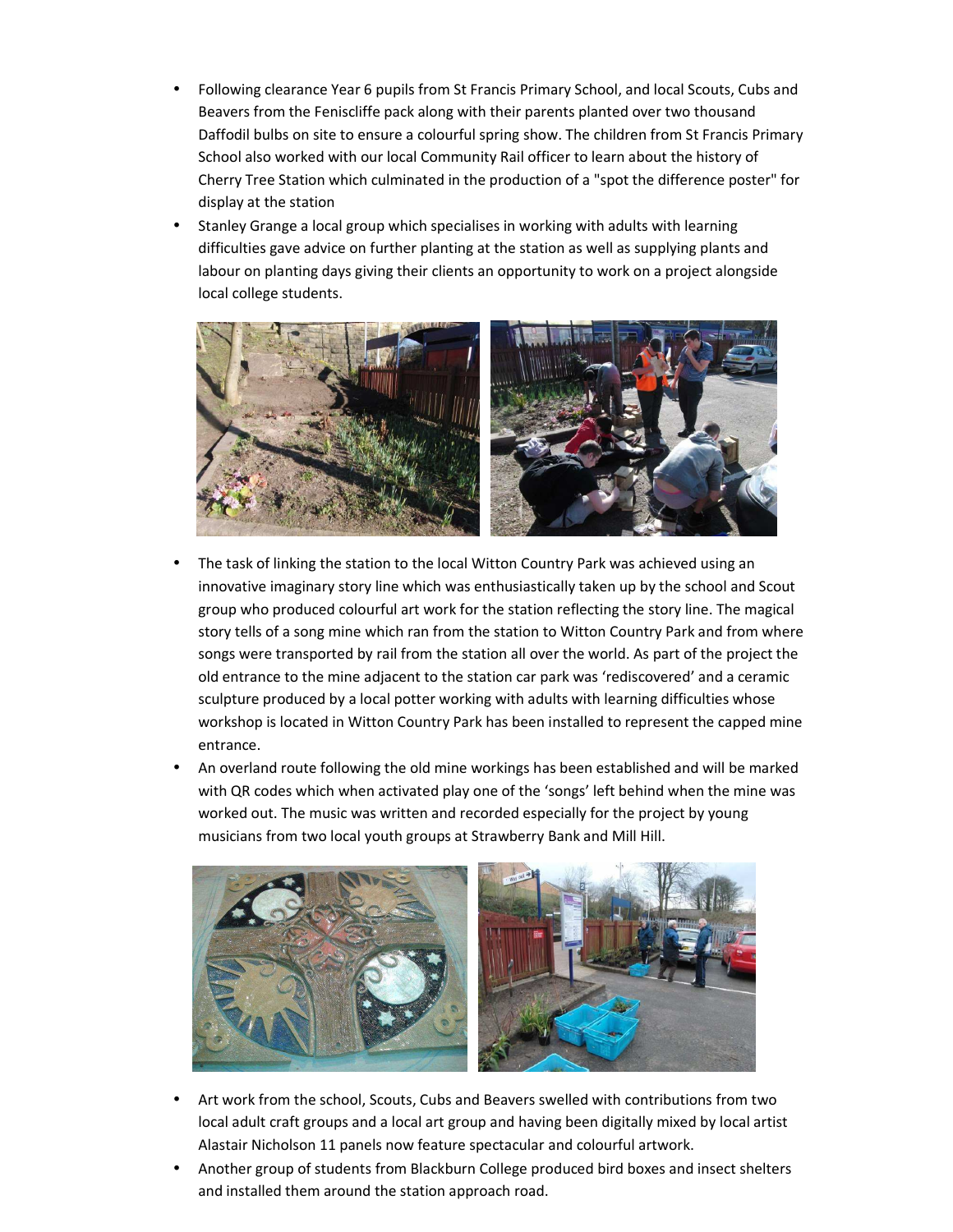- Following clearance Year 6 pupils from St Francis Primary School, and local Scouts, Cubs and Beavers from the Feniscliffe pack along with their parents planted over two thousand Daffodil bulbs on site to ensure a colourful spring show. The children from St Francis Primary School also worked with our local Community Rail officer to learn about the history of Cherry Tree Station which culminated in the production of a "spot the difference poster" for display at the station
- Stanley Grange a local group which specialises in working with adults with learning difficulties gave advice on further planting at the station as well as supplying plants and labour on planting days giving their clients an opportunity to work on a project alongside local college students.



- The task of linking the station to the local Witton Country Park was achieved using an innovative imaginary story line which was enthusiastically taken up by the school and Scout group who produced colourful art work for the station reflecting the story line. The magical story tells of a song mine which ran from the station to Witton Country Park and from where songs were transported by rail from the station all over the world. As part of the project the old entrance to the mine adjacent to the station car park was 'rediscovered' and a ceramic sculpture produced by a local potter working with adults with learning difficulties whose workshop is located in Witton Country Park has been installed to represent the capped mine entrance.
- An overland route following the old mine workings has been established and will be marked with QR codes which when activated play one of the 'songs' left behind when the mine was worked out. The music was written and recorded especially for the project by young musicians from two local youth groups at Strawberry Bank and Mill Hill.



- Art work from the school, Scouts, Cubs and Beavers swelled with contributions from two local adult craft groups and a local art group and having been digitally mixed by local artist Alastair Nicholson 11 panels now feature spectacular and colourful artwork.
- Another group of students from Blackburn College produced bird boxes and insect shelters and installed them around the station approach road.